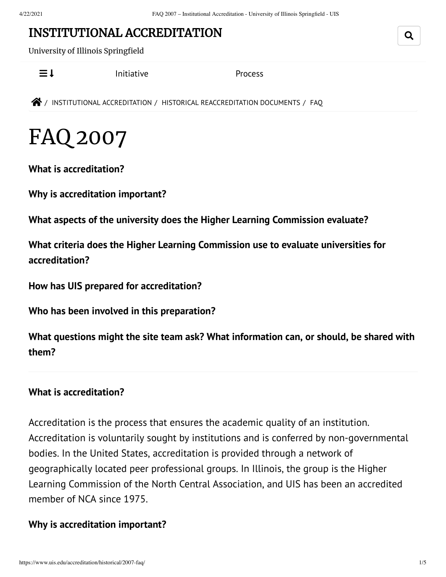# INSTITUTIONAL [ACCREDITATION](https://www.uis.edu/accreditation/)

University of Illinois Springfield

 $\equiv$  1 [Initiative](https://www.uis.edu/accreditation/quality/) [Process](https://www.uis.edu/accreditation/about/)

 $\bigotimes$  / INSTITUTIONAL [ACCREDITATION](https://www.uis.edu/accreditation/) / HISTORICAL [REACCREDITATION](https://www.uis.edu/accreditation/historical/) DOCUMENTS / FAQ

# FAQ 2007

**What is [accreditation?](#page-0-0)**

**Why is [accreditation](#page-0-1) important?**

**What aspects of the university does the Higher Learning [Commission](#page-1-0) evaluate?**

**What criteria does the Higher Learning Commission use to evaluate universities for [accreditation?](#page-1-1)**

**How has UIS prepared for [accreditation?](#page-1-2)**

**Who has been involved in this [preparation?](#page-2-0)**

**What questions might the site team ask? What [information](#page-2-1) can, or should, be shared with them?**

#### <span id="page-0-0"></span>**What is accreditation?**

Accreditation is the process that ensures the academic quality of an institution. Accreditation is voluntarily sought by institutions and is conferred by non-governmental bodies. In the United States, accreditation is provided through a network of geographically located peer professional groups. In Illinois, the group is the Higher Learning Commission of the North Central Association, and UIS has been an accredited member of NCA since 1975.

#### <span id="page-0-1"></span>**Why is accreditation important?**

Q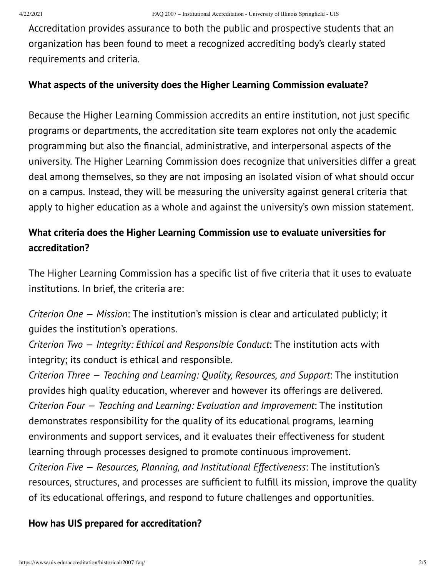Accreditation provides assurance to both the public and prospective students that an organization has been found to meet a recognized accrediting body's clearly stated requirements and criteria.

#### <span id="page-1-0"></span>**What aspects of the university does the Higher Learning Commission evaluate?**

Because the Higher Learning Commission accredits an entire institution, not just specific programs or departments, the accreditation site team explores not only the academic programming but also the financial, administrative, and interpersonal aspects of the university. The Higher Learning Commission does recognize that universities differ a great deal among themselves, so they are not imposing an isolated vision of what should occur on a campus. Instead, they will be measuring the university against general criteria that apply to higher education as a whole and against the university's own mission statement.

# <span id="page-1-1"></span>**What criteria does the Higher Learning Commission use to evaluate universities for accreditation?**

The Higher Learning Commission has a specific list of five criteria that it uses to evaluate institutions. In brief, the criteria are:

*Criterion One — Mission*: The institution's mission is clear and articulated publicly; it guides the institution's operations.

*Criterion Two — Integrity: Ethical and Responsible Conduct*: The institution acts with integrity; its conduct is ethical and responsible.

*Criterion Three — Teaching and Learning: Quality, Resources, and Support*: The institution provides high quality education, wherever and however its offerings are delivered. *Criterion Four — Teaching and Learning: Evaluation and Improvement*: The institution demonstrates responsibility for the quality of its educational programs, learning environments and support services, and it evaluates their effectiveness for student learning through processes designed to promote continuous improvement. *Criterion Five — Resources, Planning, and Institutional Effectiveness*: The institution's resources, structures, and processes are sufficient to fulfill its mission, improve the quality of its educational offerings, and respond to future challenges and opportunities.

## <span id="page-1-2"></span>**How has UIS prepared for accreditation?**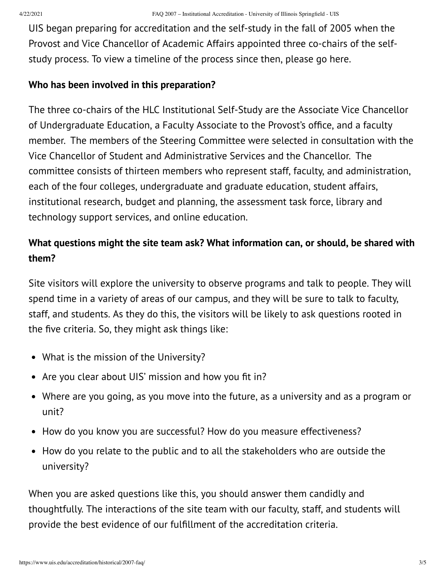UIS began preparing for accreditation and the self-study in the fall of 2005 when the Provost and Vice Chancellor of Academic Affairs appointed three co-chairs of the selfstudy process. To view a timeline of the process since then, please go here.

### <span id="page-2-0"></span>**Who has been involved in this preparation?**

The three co-chairs of the HLC Institutional Self-Study are the Associate Vice Chancellor of Undergraduate Education, a Faculty Associate to the Provost's office, and a faculty member. The members of the Steering Committee were selected in consultation with the Vice Chancellor of Student and Administrative Services and the Chancellor. The committee consists of thirteen members who represent staff, faculty, and administration, each of the four colleges, undergraduate and graduate education, student affairs, institutional research, budget and planning, the assessment task force, library and technology support services, and online education.

# <span id="page-2-1"></span>**What questions might the site team ask? What information can, or should, be shared with them?**

Site visitors will explore the university to observe programs and talk to people. They will spend time in a variety of areas of our campus, and they will be sure to talk to faculty, staff, and students. As they do this, the visitors will be likely to ask questions rooted in the five criteria. So, they might ask things like:

- What is the mission of the University?
- Are you clear about UIS' mission and how you fit in?
- Where are you going, as you move into the future, as a university and as a program or unit?
- How do you know you are successful? How do you measure effectiveness?
- How do you relate to the public and to all the stakeholders who are outside the university?

When you are asked questions like this, you should answer them candidly and thoughtfully. The interactions of the site team with our faculty, staff, and students will provide the best evidence of our fulfillment of the accreditation criteria.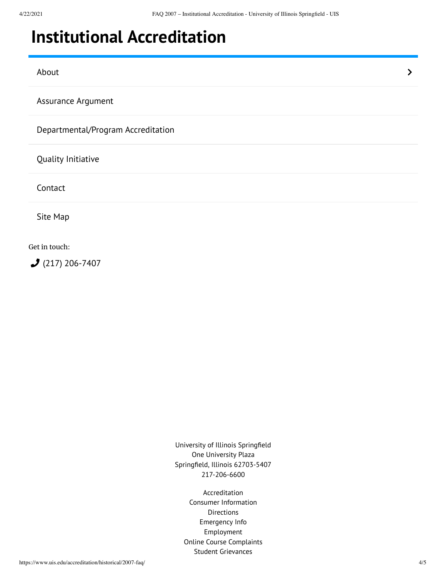# <span id="page-3-0"></span>**Institutional [Accreditation](https://www.uis.edu/accreditation/)**

[About](https://www.uis.edu/accreditation/about/) the contract of the contract of the contract of the contract of the contract of the contract of the contract of the contract of the contract of the contract of the contract of the contract of the contract of the cont

[Assurance](https://www.uis.edu/accreditation/assurance/) Argument

[Departmental/Program](https://www.uis.edu/accreditation/departmental-program-accreditation/) Accreditation

Quality [Initiative](https://www.uis.edu/accreditation/quality/)

[Contact](https://www.uis.edu/accreditation/contact/)

Site [Map](https://www.uis.edu/accreditation/sitemap/)

Get in touch:

(217) [206-7407](tel:(217)%20206-7407)

University of Illinois Springfield One University Plaza Springfield, Illinois 62703-5407 217-206-6600

> [Accreditation](https://www.uis.edu/accreditation/) Consumer [Information](https://www.uis.edu/about/student-consumer-information/) **[Directions](https://www.uis.edu/about/visit/drivingdirections/)** [Emergency](https://www.uis.edu/emergencies/) Info [Employment](https://jobs.uis.edu/) Online Course [Complaints](https://forms.uofi.uis.edu/sec/6417829) Student [Grievances](https://www.uis.edu/academicaffairs/departmentofeducationcomplaintprocess/)